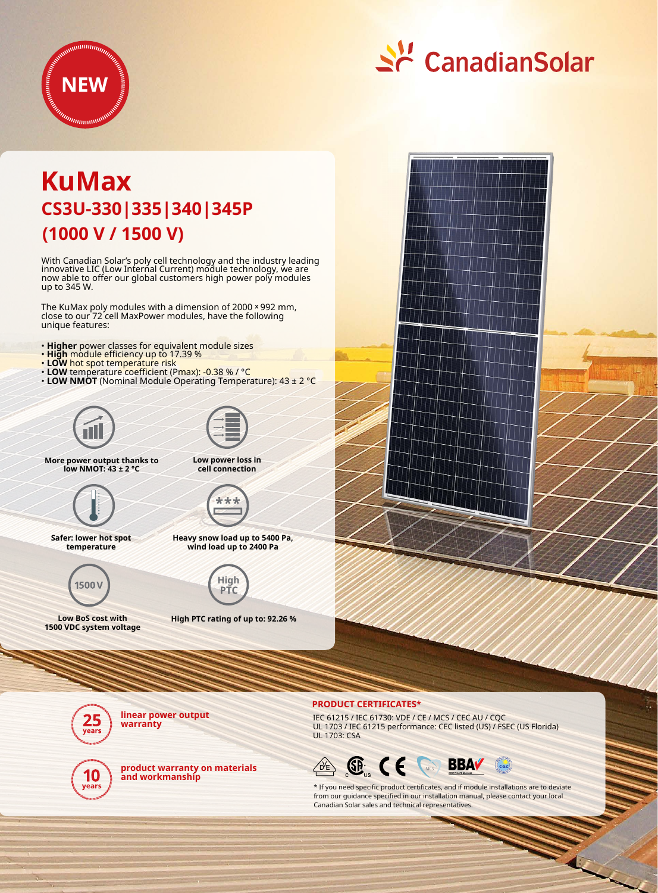

# <u>수</u> CanadianSolar

# **(1000 V / 1500 V) KuMax CS3U-330|335|340|345P**

With Canadian Solar's poly cell technology and the industry leading innovative LIC (Low Internal Current) module technology, we are now able to offer our global customers high power poly modules up to 345 W.

The KuMax poly modules with a dimension of 2000 x 992 mm, close to our 72 cell MaxPower modules, have the following unique features:

- **Higher** power classes for equivalent module sizes
- **High** module efficiency up to 17.39 %
- **LOW** hot spot temperature risk
- **LOW** temperature coefficient (Pmax): -0.38 % / °C
- **LOW NMOT** (Nominal Module Operating Temperature): 43 ± 2 °C





**Low power loss in cell connection**

**More power output thanks to low NMOT: 43 ± 2 °C**





**Safer: lower hot spot temperature**



**Heavy snow load up to 5400 Pa, wind load up to 2400 Pa**



**Low BoS cost with 1500 VDC system voltage**

**High PTC rating of up to: 92.26 %**



#### **PRODUCT CERTIFICATES\***

IEC 61215 / IEC 61730: VDE / CE / MCS / CEC AU / CQC UL 1703 / IEC 61215 performance: CEC listed (US) / FSEC (US Florida) UL 1703: CSA



\* If you need specific product certificates, and if module installations are to deviate from our guidance specified in our installation manual, please contact your local Canadian Solar sales and technical representatives.



**linear power output warranty**



**product warranty on materials and workmanship**